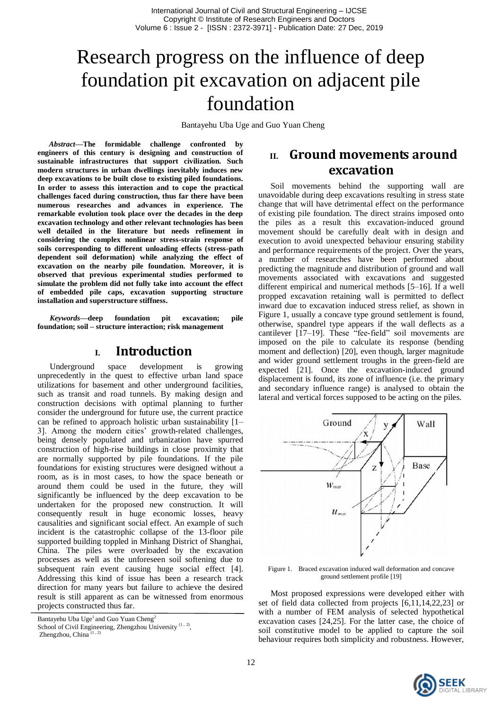# Research progress on the influence of deep foundation pit excavation on adjacent pile foundation

Bantayehu Uba Uge and Guo Yuan Cheng

*Abstract***—The formidable challenge confronted by engineers of this century is designing and construction of sustainable infrastructures that support civilization. Such modern structures in urban dwellings inevitably induces new deep excavations to be built close to existing piled foundations. In order to assess this interaction and to cope the practical challenges faced during construction, thus far there have been numerous researches and advances in experience. The remarkable evolution took place over the decades in the deep excavation technology and other relevant technologies has been well detailed in the literature but needs refinement in considering the complex nonlinear stress-strain response of soils corresponding to different unloading effects (stress-path dependent soil deformation) while analyzing the effect of excavation on the nearby pile foundation. Moreover, it is observed that previous experimental studies performed to simulate the problem did not fully take into account the effect of embedded pile caps, excavation supporting structure installation and superstructure stiffness.**

*Keywords—***deep foundation pit excavation; pile foundation; soil – structure interaction; risk management**

## **I. Introduction**

Underground space development is growing unprecedently in the quest to effective urban land space utilizations for basement and other underground facilities, such as transit and road tunnels. By making design and construction decisions with optimal planning to further consider the underground for future use, the current practice can be refined to approach holistic urban sustainability [1– 3]. Among the modern cities' growth-related challenges, being densely populated and urbanization have spurred construction of high-rise buildings in close proximity that are normally supported by pile foundations. If the pile foundations for existing structures were designed without a room, as is in most cases, to how the space beneath or around them could be used in the future, they will significantly be influenced by the deep excavation to be undertaken for the proposed new construction. It will consequently result in huge economic losses, heavy causalities and significant social effect. An example of such incident is the catastrophic collapse of the 13-floor pile supported building toppled in Minhang District of Shanghai, China. The piles were overloaded by the excavation processes as well as the unforeseen soil softening due to subsequent rain event causing huge social effect [4]. Addressing this kind of issue has been a research track direction for many years but failure to achieve the desired result is still apparent as can be witnessed from enormous projects constructed thus far.

Bantayehu Uba Uge<sup>1</sup> and Guo Yuan Cheng<sup>2</sup>

School of Civil Engineering, Zhengzhou University<sup>(1, 2)</sup>, Zhengzhou, China

## **II. Ground movements around excavation**

Soil movements behind the supporting wall are unavoidable during deep excavations resulting in stress state change that will have detrimental effect on the performance of existing pile foundation. The direct strains imposed onto the piles as a result this excavation-induced ground movement should be carefully dealt with in design and execution to avoid unexpected behaviour ensuring stability and performance requirements of the project. Over the years, a number of researches have been performed about predicting the magnitude and distribution of ground and wall movements associated with excavations and suggested different empirical and numerical methods [5–16]. If a well propped excavation retaining wall is permitted to deflect inward due to excavation induced stress relief, as shown in Figure 1, usually a concave type ground settlement is found, otherwise, spandrel type appears if the wall deflects as a cantilever  $[17-19]$ . These "fee-field" soil movements are imposed on the pile to calculate its response (bending moment and deflection) [20], even though, larger magnitude and wider ground settlement troughs in the green-field are expected [21]. Once the excavation-induced ground displacement is found, its zone of influence (i.e. the primary and secondary influence range) is analysed to obtain the lateral and vertical forces supposed to be acting on the piles.



Figure 1. Braced excavation induced wall deformation and concave ground settlement profile [19]

Most proposed expressions were developed either with set of field data collected from projects [6,11,14,22,23] or with a number of FEM analysis of selected hypothetical excavation cases [24,25]. For the latter case, the choice of soil constitutive model to be applied to capture the soil behaviour requires both simplicity and robustness. However,

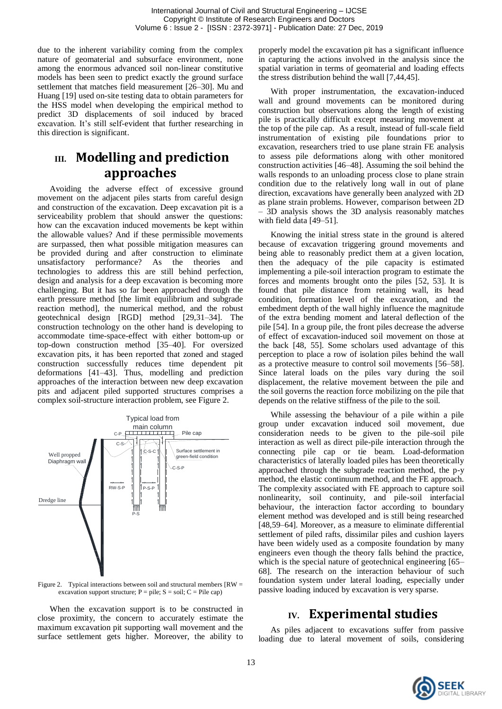due to the inherent variability coming from the complex nature of geomaterial and subsurface environment, none among the enormous advanced soil non-linear constitutive models has been seen to predict exactly the ground surface settlement that matches field measurement [26–30]. Mu and Huang [19] used on-site testing data to obtain parameters for the HSS model when developing the empirical method to predict 3D displacements of soil induced by braced excavation. It's still self-evident that further researching in this direction is significant.

# **III. Modelling and prediction approaches**

Avoiding the adverse effect of excessive ground movement on the adjacent piles starts from careful design and construction of the excavation. Deep excavation pit is a serviceability problem that should answer the questions: how can the excavation induced movements be kept within the allowable values? And if these permissible movements are surpassed, then what possible mitigation measures can be provided during and after construction to eliminate unsatisfactory performance? As the theories and technologies to address this are still behind perfection, design and analysis for a deep excavation is becoming more challenging. But it has so far been approached through the earth pressure method [the limit equilibrium and subgrade reaction method], the numerical method, and the robust geotechnical design [RGD] method [29,31–34]. The construction technology on the other hand is developing to accommodate time-space-effect with either bottom-up or top-down construction method [35–40]. For oversized excavation pits, it has been reported that zoned and staged construction successfully reduces time dependent pit deformations [41–43]. Thus, modelling and prediction approaches of the interaction between new deep excavation pits and adjacent piled supported structures comprises a complex soil-structure interaction problem, see Figure 2.



Figure 2. Typical interactions between soil and structural members  $IRW =$ excavation support structure;  $P = pile$ ;  $S = soil$ ;  $C = File cap$ )

When the excavation support is to be constructed in close proximity, the concern to accurately estimate the maximum excavation pit supporting wall movement and the surface settlement gets higher. Moreover, the ability to

properly model the excavation pit has a significant influence in capturing the actions involved in the analysis since the spatial variation in terms of geomaterial and loading effects the stress distribution behind the wall [7,44,45].

With proper instrumentation, the excavation-induced wall and ground movements can be monitored during construction but observations along the length of existing pile is practically difficult except measuring movement at the top of the pile cap. As a result, instead of full-scale field instrumentation of existing pile foundations prior to excavation, researchers tried to use plane strain FE analysis to assess pile deformations along with other monitored construction activities [46–48]. Assuming the soil behind the walls responds to an unloading process close to plane strain condition due to the relatively long wall in out of plane direction, excavations have generally been analyzed with 2D as plane strain problems. However, comparison between 2D – 3D analysis shows the 3D analysis reasonably matches with field data [49–51].

Knowing the initial stress state in the ground is altered because of excavation triggering ground movements and being able to reasonably predict them at a given location, then the adequacy of the pile capacity is estimated implementing a pile-soil interaction program to estimate the forces and moments brought onto the piles [52, 53]. It is found that pile distance from retaining wall, its head condition, formation level of the excavation, and the embedment depth of the wall highly influence the magnitude of the extra bending moment and lateral deflection of the pile [54]. In a group pile, the front piles decrease the adverse of effect of excavation-induced soil movement on those at the back [48, 55]. Some scholars used advantage of this perception to place a row of isolation piles behind the wall as a protective measure to control soil movements [56–58]. Since lateral loads on the piles vary during the soil displacement, the relative movement between the pile and the soil governs the reaction force mobilizing on the pile that depends on the relative stiffness of the pile to the soil.

While assessing the behaviour of a pile within a pile group under excavation induced soil movement, due consideration needs to be given to the pile-soil pile interaction as well as direct pile-pile interaction through the connecting pile cap or tie beam. Load-deformation characteristics of laterally loaded piles has been theoretically approached through the subgrade reaction method, the p-y method, the elastic continuum method, and the FE approach. The complexity associated with FE approach to capture soil nonlinearity, soil continuity, and pile-soil interfacial behaviour, the interaction factor according to boundary element method was developed and is still being researched [48,59–64]. Moreover, as a measure to eliminate differential settlement of piled rafts, dissimilar piles and cushion layers have been widely used as a composite foundation by many engineers even though the theory falls behind the practice, which is the special nature of geotechnical engineering [65– 68]. The research on the interaction behaviour of such foundation system under lateral loading, especially under passive loading induced by excavation is very sparse.

# **IV. Experimental studies**

As piles adjacent to excavations suffer from passive loading due to lateral movement of soils, considering

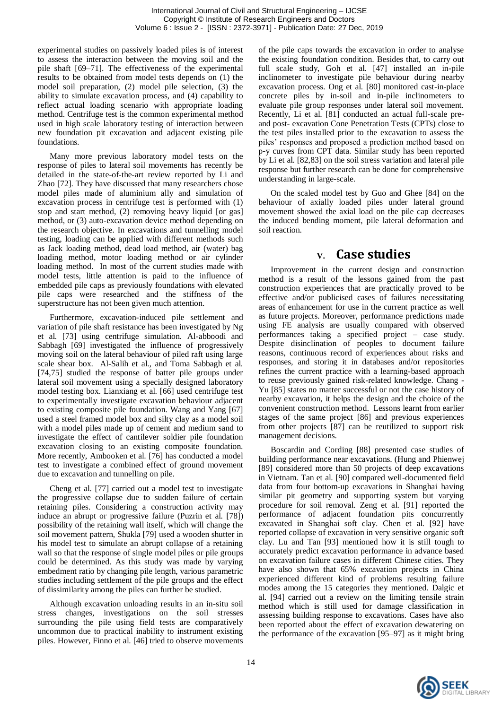experimental studies on passively loaded piles is of interest to assess the interaction between the moving soil and the pile shaft [69–71]. The effectiveness of the experimental results to be obtained from model tests depends on (1) the model soil preparation, (2) model pile selection, (3) the ability to simulate excavation process, and (4) capability to reflect actual loading scenario with appropriate loading method. Centrifuge test is the common experimental method used in high scale laboratory testing of interaction between new foundation pit excavation and adjacent existing pile foundations.

Many more previous laboratory model tests on the response of piles to lateral soil movements has recently be detailed in the state-of-the-art review reported by Li and Zhao [72]. They have discussed that many researchers chose model piles made of aluminium ally and simulation of excavation process in centrifuge test is performed with (1) stop and start method, (2) removing heavy liquid [or gas] method, or (3) auto-excavation device method depending on the research objective. In excavations and tunnelling model testing, loading can be applied with different methods such as Jack loading method, dead load method, air (water) bag loading method, motor loading method or air cylinder loading method. In most of the current studies made with model tests, little attention is paid to the influence of embedded pile caps as previously foundations with elevated pile caps were researched and the stiffness of the superstructure has not been given much attention.

Furthermore, excavation-induced pile settlement and variation of pile shaft resistance has been investigated by Ng et al. [73] using centrifuge simulation. Al-abboodi and Sabbagh [69] investigated the influence of progressively moving soil on the lateral behaviour of piled raft using large scale shear box. Al-Salih et al., and Toma Sabbagh et al. [74,75] studied the response of batter pile groups under lateral soil movement using a specially designed laboratory model testing box. Lianxiang et al. [66] used centrifuge test to experimentally investigate excavation behaviour adjacent to existing composite pile foundation. Wang and Yang [67] used a steel framed model box and silty clay as a model soil with a model piles made up of cement and medium sand to investigate the effect of cantilever soldier pile foundation excavation closing to an existing composite foundation. More recently, Ambooken et al. [76] has conducted a model test to investigate a combined effect of ground movement due to excavation and tunnelling on pile.

Cheng et al. [77] carried out a model test to investigate the progressive collapse due to sudden failure of certain retaining piles. Considering a construction activity may induce an abrupt or progressive failure (Puzrin et al. [78]) possibility of the retaining wall itself, which will change the soil movement pattern, Shukla [79] used a wooden shutter in his model test to simulate an abrupt collapse of a retaining wall so that the response of single model piles or pile groups could be determined. As this study was made by varying embedment ratio by changing pile length, various parametric studies including settlement of the pile groups and the effect of dissimilarity among the piles can further be studied.

Although excavation unloading results in an in-situ soil stress changes, investigations on the soil stresses surrounding the pile using field tests are comparatively uncommon due to practical inability to instrument existing piles. However, Finno et al. [46] tried to observe movements

of the pile caps towards the excavation in order to analyse the existing foundation condition. Besides that, to carry out full scale study, Goh et al. [47] installed an in-pile inclinometer to investigate pile behaviour during nearby excavation process. Ong et al. [80] monitored cast-in-place concrete piles by in-soil and in-pile inclinometers to evaluate pile group responses under lateral soil movement. Recently, Li et al. [81] conducted an actual full-scale preand post- excavation Cone Penetration Tests (CPTs) close to the test piles installed prior to the excavation to assess the piles' responses and proposed a prediction method based on p-y curves from CPT data. Similar study has been reported by Li et al. [82,83] on the soil stress variation and lateral pile response but further research can be done for comprehensive understanding in large-scale.

On the scaled model test by Guo and Ghee [84] on the behaviour of axially loaded piles under lateral ground movement showed the axial load on the pile cap decreases the induced bending moment, pile lateral deformation and soil reaction.

## **V. Case studies**

Improvement in the current design and construction method is a result of the lessons gained from the past construction experiences that are practically proved to be effective and/or publicised cases of failures necessitating areas of enhancement for use in the current practice as well as future projects. Moreover, performance predictions made using FE analysis are usually compared with observed performances taking a specified project – case study. Despite disinclination of peoples to document failure reasons, continuous record of experiences about risks and responses, and storing it in databases and/or repositories refines the current practice with a learning-based approach to reuse previously gained risk-related knowledge. Chang - Yu [85] states no matter successful or not the case history of nearby excavation, it helps the design and the choice of the convenient construction method. Lessons learnt from earlier stages of the same project [86] and previous experiences from other projects [87] can be reutilized to support risk management decisions.

Boscardin and Cording [88] presented case studies of building performance near excavations. (Hung and Phienwej [89] considered more than 50 projects of deep excavations in Vietnam. Tan et al. [90] compared well-documented field data from four bottom-up excavations in Shanghai having similar pit geometry and supporting system but varying procedure for soil removal. Zeng et al. [91] reported the performance of adjacent foundation pits concurrently excavated in Shanghai soft clay. Chen et al. [92] have reported collapse of excavation in very sensitive organic soft clay. Lu and Tan [93] mentioned how it is still tough to accurately predict excavation performance in advance based on excavation failure cases in different Chinese cities. They have also shown that 65% excavation projects in China experienced different kind of problems resulting failure modes among the 15 categories they mentioned. Dalgic et al. [94] carried out a review on the limiting tensile strain method which is still used for damage classification in assessing building response to excavations. Cases have also been reported about the effect of excavation dewatering on the performance of the excavation [95–97] as it might bring

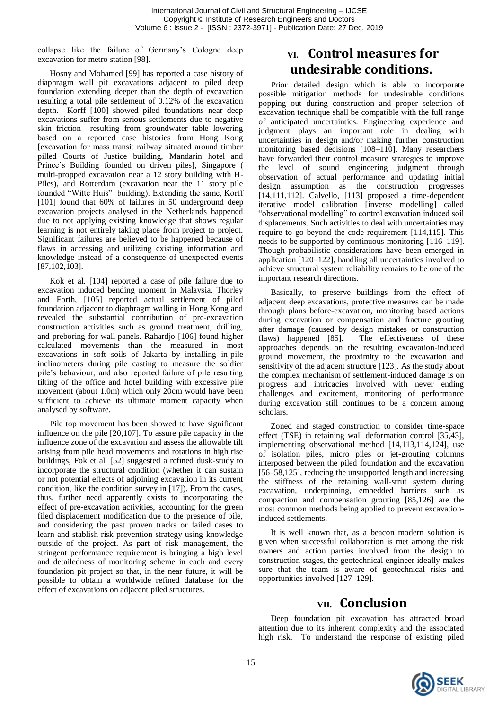collapse like the failure of Germany's Cologne deep excavation for metro station [98].

Hosny and Mohamed [99] has reported a case history of diaphragm wall pit excavations adjacent to piled deep foundation extending deeper than the depth of excavation resulting a total pile settlement of 0.12% of the excavation depth. Korff [100] showed piled foundations near deep excavations suffer from serious settlements due to negative skin friction resulting from groundwater table lowering based on a reported case histories from Hong Kong [excavation for mass transit railway situated around timber pilled Courts of Justice building, Mandarin hotel and Prince's Building founded on driven piles], Singapore ( multi-propped excavation near a 12 story building with H-Piles), and Rotterdam (excavation near the 11 story pile founded "Witte Huis" building). Extending the same, Korff [101] found that 60% of failures in 50 underground deep excavation projects analysed in the Netherlands happened due to not applying existing knowledge that shows regular learning is not entirely taking place from project to project. Significant failures are believed to be happened because of flaws in accessing and utilizing existing information and knowledge instead of a consequence of unexpected events [87,102,103].

Kok et al. [104] reported a case of pile failure due to excavation induced bending moment in Malaysia. Thorley and Forth, [105] reported actual settlement of piled foundation adjacent to diaphragm walling in Hong Kong and revealed the substantial contribution of pre-excavation construction activities such as ground treatment, drilling, and preboring for wall panels. Rahardjo [106] found higher calculated movements than the measured in most excavations in soft soils of Jakarta by installing in-pile inclinometers during pile casting to measure the soldier pile's behaviour, and also reported failure of pile resulting tilting of the office and hotel building with excessive pile movement (about 1.0m) which only 20cm would have been sufficient to achieve its ultimate moment capacity when analysed by software.

Pile top movement has been showed to have significant influence on the pile [20,107]. To assure pile capacity in the influence zone of the excavation and assess the allowable tilt arising from pile head movements and rotations in high rise buildings, Fok et al. [52] suggested a refined dusk-study to incorporate the structural condition (whether it can sustain or not potential effects of adjoining excavation in its current condition, like the condition survey in [17]). From the cases, thus, further need apparently exists to incorporating the effect of pre-excavation activities, accounting for the green filed displacement modification due to the presence of pile, and considering the past proven tracks or failed cases to learn and stablish risk prevention strategy using knowledge outside of the project. As part of risk management, the stringent performance requirement is bringing a high level and detailedness of monitoring scheme in each and every foundation pit project so that, in the near future, it will be possible to obtain a worldwide refined database for the effect of excavations on adjacent piled structures.

# **VI. Control measures for undesirable conditions.**

Prior detailed design which is able to incorporate possible mitigation methods for undesirable conditions popping out during construction and proper selection of excavation technique shall be compatible with the full range of anticipated uncertainties. Engineering experience and judgment plays an important role in dealing with uncertainties in design and/or making further construction monitoring based decisions [108–110]. Many researchers have forwarded their control measure strategies to improve the level of sound engineering judgment through observation of actual performance and updating initial design assumption as the construction progresses [14,111,112]. Calvello, [113] proposed a time-dependent iterative model calibration [inverse modelling] called "observational modelling" to control excavation induced soil displacements. Such activities to deal with uncertainties may require to go beyond the code requirement [114,115]. This needs to be supported by continuous monitoring [116–119]. Though probabilistic considerations have been emerged in application [120–122], handling all uncertainties involved to achieve structural system reliability remains to be one of the important research directions.

Basically, to preserve buildings from the effect of adjacent deep excavations, protective measures can be made through plans before-excavation, monitoring based actions during excavation or compensation and fracture grouting after damage (caused by design mistakes or construction flaws) happened [85]. The effectiveness of these approaches depends on the resulting excavation-induced ground movement, the proximity to the excavation and sensitivity of the adjacent structure [123]. As the study about the complex mechanism of settlement-induced damage is on progress and intricacies involved with never ending challenges and excitement, monitoring of performance during excavation still continues to be a concern among scholars.

Zoned and staged construction to consider time-space effect (TSE) in retaining wall deformation control [35,43], implementing observational method [14,113,114,124], use of isolation piles, micro piles or jet-grouting columns interposed between the piled foundation and the excavation [56–58,125], reducing the unsupported length and increasing the stiffness of the retaining wall-strut system during excavation, underpinning, embedded barriers such as compaction and compensation grouting [85,126] are the most common methods being applied to prevent excavationinduced settlements.

It is well known that, as a beacon modern solution is given when successful collaboration is met among the risk owners and action parties involved from the design to construction stages, the geotechnical engineer ideally makes sure that the team is aware of geotechnical risks and opportunities involved [127–129].

# **VII. Conclusion**

Deep foundation pit excavation has attracted broad attention due to its inherent complexity and the associated high risk. To understand the response of existing piled

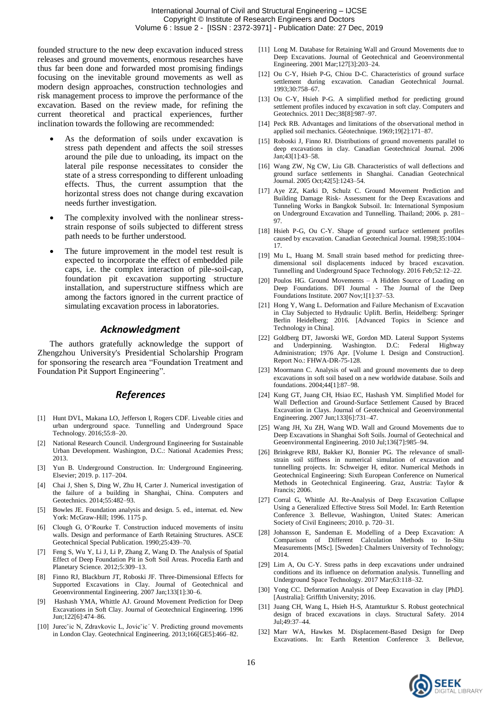founded structure to the new deep excavation induced stress releases and ground movements, enormous researches have thus far been done and forwarded most promising findings focusing on the inevitable ground movements as well as modern design approaches, construction technologies and risk management process to improve the performance of the excavation. Based on the review made, for refining the current theoretical and practical experiences, further inclination towards the following are recommended:

- As the deformation of soils under excavation is stress path dependent and affects the soil stresses around the pile due to unloading, its impact on the lateral pile response necessitates to consider the state of a stress corresponding to different unloading effects. Thus, the current assumption that the horizontal stress does not change during excavation needs further investigation.
- The complexity involved with the nonlinear stressstrain response of soils subjected to different stress path needs to be further understood.
- The future improvement in the model test result is expected to incorporate the effect of embedded pile caps, i.e. the complex interaction of pile-soil-cap, foundation pit excavation supporting structure installation, and superstructure stiffness which are among the factors ignored in the current practice of simulating excavation process in laboratories.

### *Acknowledgment*

The authors gratefully acknowledge the support of Zhengzhou University's Presidential Scholarship Program for sponsoring the research area "Foundation Treatment and Foundation Pit Support Engineering".

### *References*

- [1] Hunt DVL, Makana LO, Jefferson I, Rogers CDF. Liveable cities and urban underground space. Tunnelling and Underground Space Technology. 2016;55:8–20.
- National Research Council. Underground Engineering for Sustainable Urban Development. Washington, D.C.: National Academies Press; 2013.
- [3] Yun B. Underground Construction. In: Underground Engineering. Elsevier; 2019. p. 117–204.
- [4] Chai J, Shen S, Ding W, Zhu H, Carter J. Numerical investigation of the failure of a building in Shanghai, China. Computers and Geotechnics. 2014;55:482–93.
- [5] Bowles JE. Foundation analysis and design. 5. ed., internat. ed. New York: McGraw-Hill; 1996. 1175 p.
- [6] Clough G, O'Rourke T. Construction induced movements of insitu walls. Design and performance of Earth Retaining Structures. ASCE Geotechnical Special Publication. 1990;25:439–70.
- [7] Feng S, Wu Y, Li J, Li P, Zhang Z, Wang D. The Analysis of Spatial Effect of Deep Foundation Pit in Soft Soil Areas. Procedia Earth and Planetary Science. 2012;5:309–13.
- [8] Finno RJ, Blackburn JT, Roboski JF. Three-Dimensional Effects for Supported Excavations in Clay. Journal of Geotechnical and Geoenvironmental Engineering. 2007 Jan;133[1]:30–6.
- Hashash YMA, Whittle AJ. Ground Movement Prediction for Deep Excavations in Soft Clay. Journal of Geotechnical Engineering. 1996 Jun;122[6]:474–86.
- [10] Jurec<sup>x</sup>ic N, Zdravkovic L, Jovic<sup>x</sup>ic<sup>'</sup> V. Predicting ground movements in London Clay. Geotechnical Engineering. 2013;166[GE5]:466–82.
- [11] Long M. Database for Retaining Wall and Ground Movements due to Deep Excavations. Journal of Geotechnical and Geoenvironmental Engineering. 2001 Mar;127[3]:203–24.
- [12] Ou C-Y, Hsieh P-G, Chiou D-C. Characteristics of ground surface settlement during excavation. Canadian Geotechnical Journal. 1993;30:758–67.
- [13] Ou C-Y, Hsieh P-G. A simplified method for predicting ground settlement profiles induced by excavation in soft clay. Computers and Geotechnics. 2011 Dec;38[8]:987–97.
- [14] Peck RB. Advantages and limitations of the observational method in applied soil mechanics. Géotechnique. 1969;19[2]:171–87.
- [15] Roboski J, Finno RJ. Distributions of ground movements parallel to deep excavations in clay. Canadian Geotechnical Journal. 2006 Jan;43[1]:43–58.
- [16] Wang ZW, Ng CW, Liu GB. Characteristics of wall deflections and ground surface settlements in Shanghai. Canadian Geotechnical Journal. 2005 Oct;42[5]:1243–54.
- [17] Aye ZZ, Karki D, Schulz C. Ground Movement Prediction and Building Damage Risk- Assessment for the Deep Excavations and Tunneling Works in Bangkok Subsoil. In: International Symposium on Underground Excavation and Tunnelling. Thailand; 2006. p. 281– 97.
- [18] Hsieh P-G, Ou C-Y. Shape of ground surface settlement profiles caused by excavation. Canadian Geotechnical Journal. 1998;35:1004– 17.
- [19] Mu L, Huang M. Small strain based method for predicting threedimensional soil displacements induced by braced excavation. Tunnelling and Underground Space Technology. 2016 Feb;52:12–22.
- [20] Poulos HG. Ground Movements A Hidden Source of Loading on Deep Foundations. DFI Journal - The Journal of the Deep Foundations Institute. 2007 Nov;1[1]:37–53.
- [21] Hong Y, Wang L. Deformation and Failure Mechanism of Excavation in Clay Subjected to Hydraulic Uplift. Berlin, Heidelberg: Springer Berlin Heidelberg; 2016. [Advanced Topics in Science and Technology in China].
- [22] Goldberg DT, Jaworski WE, Gordon MD. Lateral Support Systems and Underpinning. Washington. D.C: Federal Highway Administration; 1976 Apr. [Volume I. Design and Construction]. Report No.: FHWA-DR-75-128.
- [23] Moormann C. Analysis of wall and ground movements due to deep excavations in soft soil based on a new worldwide database. Soils and foundations. 2004;44[1]:87–98.
- [24] Kung GT, Juang CH, Hsiao EC, Hashash YM, Simplified Model for Wall Deflection and Ground-Surface Settlement Caused by Braced Excavation in Clays. Journal of Geotechnical and Geoenvironmental Engineering. 2007 Jun;133[6]:731–47.
- [25] Wang JH, Xu ZH, Wang WD. Wall and Ground Movements due to Deep Excavations in Shanghai Soft Soils. Journal of Geotechnical and Geoenvironmental Engineering. 2010 Jul;136[7]:985–94.
- [26] Brinkgreve RBJ, Bakker KJ, Bonnier PG. The relevance of smallstrain soil stiffness in numerical simulation of excavation and tunnelling projects. In: Schweiger H, editor. Numerical Methods in Geotechnical Engineering: Sixth European Conference on Numerical Methods in Geotechnical Engineering. Graz, Austria: Taylor & Francis; 2006.
- [27] Corral G, Whittle AJ. Re-Analysis of Deep Excavation Collapse Using a Generalized Effective Stress Soil Model. In: Earth Retention Conference 3. Bellevue, Washington, United States: American Society of Civil Engineers; 2010. p. 720–31.
- [28] Johansson E, Sandeman E. Modelling of a Deep Excavation: A Comparison of Different Calculation Methods to In-Situ Measurements [MSc]. [Sweden]: Chalmers University of Technology; 2014.
- [29] Lim A, Ou C-Y. Stress paths in deep excavations under undrained conditions and its influence on deformation analysis. Tunnelling and Underground Space Technology. 2017 Mar;63:118–32.
- [30] Yong CC. Deformation Analysis of Deep Excavation in clay [PhD]. [Australia]: Griffith University; 2016.
- [31] Juang CH, Wang L, Hsieh H-S, Atamturktur S. Robust geotechnical design of braced excavations in clays. Structural Safety. 2014 Jul;49:37–44.
- [32] Marr WA, Hawkes M. Displacement-Based Design for Deep Excavations. In: Earth Retention Conference 3. Bellevue,

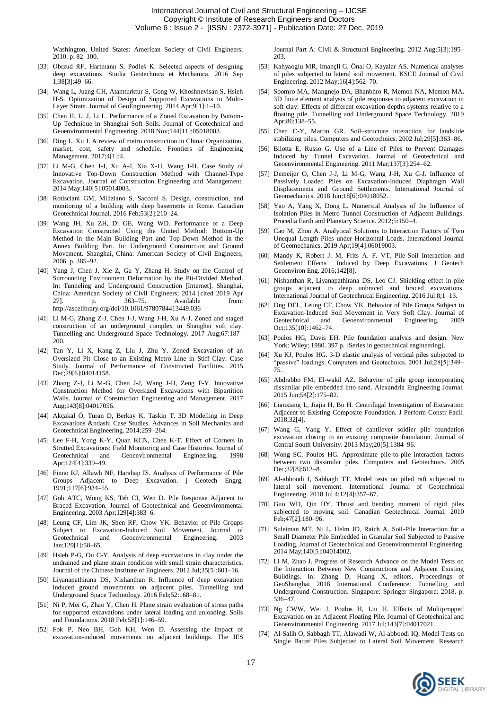Washington, United States: American Society of Civil Engineers; 2010. p. 82–100.

- [33] Obrzud RF, Hartmann S, Podleś K. Selected aspects of designing deep excavations. Studia Geotechnica et Mechanica. 2016 Sep 1;38[3]:49–66.
- [34] Wang L, Juang CH, Atamturktur S, Gong W, Khoshnevisan S, Hsieh H-S. Optimization of Design of Supported Excavations in Multi-Layer Strata. Journal of GeoEngineering. 2014 Apr;9[1]:1–10.
- [35] Chen H, Li J, Li L. Performance of a Zoned Excavation by Bottom-Up Technique in Shanghai Soft Soils. Journal of Geotechnical and Geoenvironmental Engineering. 2018 Nov;144[11]:05018003.
- [36] Ding L, Xu J. A review of metro construction in China: Organization, market, cost, safety and schedule. Frontiers of Engineering Management. 2017;4[1]:4.
- [37] Li M-G, Chen J-J, Xu A-J, Xia X-H, Wang J-H. Case Study of Innovative Top-Down Construction Method with Channel-Type Excavation. Journal of Construction Engineering and Management. 2014 May;140[5]:05014003.
- [38] Rotisciani GM, Miliziano S, Sacconi S. Design, construction, and monitoring of a building with deep basements in Rome. Canadian Geotechnical Journal. 2016 Feb;53[2]:210–24.
- [39] Wang JH, Xu ZH, Di GE, Wang WD. Performance of a Deep Excavation Constructed Using the United Method: Bottom-Up Method in the Main Building Part and Top-Down Method in the Annex Building Part. In: Underground Construction and Ground Movement. Shanghai, China: American Society of Civil Engineers; 2006. p. 385–92.
- [40] Yang J, Chen J, Xie Z, Gu Y, Zhang H. Study on the Control of Surrounding Environment Deformation by the Pit-Divided Method. In: Tunneling and Underground Construction [Internet]. Shanghai, China: American Society of Civil Engineers; 2014 [cited 2019 Apr 27]. p. 363–75. Available from: http://ascelibrary.org/doi/10.1061/9780784413449.036
- [41] Li M-G, Zhang Z-J, Chen J-J, Wang J-H, Xu A-J. Zoned and staged construction of an underground complex in Shanghai soft clay. Tunnelling and Underground Space Technology. 2017 Aug;67:187– 200.
- [42] Tan Y, Li X, Kang Z, Liu J, Zhu Y. Zoned Excavation of an Oversized Pit Close to an Existing Metro Line in Stiff Clay: Case Study. Journal of Performance of Constructed Facilities. 2015 Dec;29[6]:04014158.
- [43] Zhang Z-J, Li M-G, Chen J-J, Wang J-H, Zeng F-Y. Innovative Construction Method for Oversized Excavations with Bipartition Walls. Journal of Construction Engineering and Management. 2017 Aug;143[8]:04017056.
- [44] Akçakal Ö, Turan D, Berkay K, Taskin T. 3D Modelling in Deep Excavations – Case Studies. Advances in Soil Mechanics and Geotechnical Engineering. 2014;259–264.
- [45] Lee F-H, Yong K-Y, Ouan KCN, Chee K-T, Effect of Corners in Strutted Excavations: Field Monitoring and Case Histories. Journal of Geotechnical and Geoenvironmental Engineering. 1998 Geotechnical and Geoenvironmental Engineering. 1998 Apr;124[4]:339–49.
- [46] Finno RJ, Allawh NF, Harahap IS. Analysis of Performance of Pile Groups Adjacent to Deep Excavation. j Geotech Engrg. 1991;117[6]:934–55.
- [47] Goh ATC, Wong KS, Teh CI, Wen D. Pile Response Adjacent to Braced Excavation. Journal of Geotechnical and Geoenvironmental Engineering. 2003 Apr;129[4]:383–6.
- [48] Leung CF, Lim JK, Shen RF, Chow YK. Behavior of Pile Groups Subject to Excavation-Induced Soil Movement. Journal of Geotechnical and Geoenvironmental Engineering. 2003 Jan;129[1]:58–65.
- [49] Hsieh P-G, Ou C-Y. Analysis of deep excavations in clay under the undrained and plane strain condition with small strain characteristics. Journal of the Chinese Institute of Engineers. 2012 Jul;35[5]:601–16.
- [50] Liyanapathirana DS, Nishanthan R. Influence of deep excavation induced ground movements on adjacent piles. Tunnelling and Underground Space Technology. 2016 Feb;52:168–81.
- [51] Ni P, Mei G, Zhao Y, Chen H. Plane strain evaluation of stress paths for supported excavations under lateral loading and unloading. Soils and Foundations. 2018 Feb;58[1]:146–59.
- [52] Fok P, Neo BH, Goh KH, Wen D. Assessing the impact of excavation-induced movements on adjacent buildings. The IES

Journal Part A: Civil & Structural Engineering. 2012 Aug;5[3]:195– 203.

- [53] Kahyaoglu MR, Imançli G, Önal O, Kayalar AS. Numerical analyses of piles subjected to lateral soil movement. KSCE Journal of Civil Engineering. 2012 May;16[4]:562–70.
- [54] Soomro MA, Mangnejo DA, Bhanbhro R, Memon NA, Memon MA. 3D finite element analysis of pile responses to adjacent excavation in soft clay: Effects of different excavation depths systems relative to a floating pile. Tunnelling and Underground Space Technology. 2019 Apr;86:138–55.
- [55] Chen C-Y, Martin GR. Soil–structure interaction for landslide stabilizing piles. Computers and Geotechnics. 2002 Jul;29[5]:363–86.
- [56] Bilotta E, Russo G. Use of a Line of Piles to Prevent Damages Induced by Tunnel Excavation. Journal of Geotechnical and Geoenvironmental Engineering. 2011 Mar;137[3]:254–62.
- [57] Demeijer O, Chen J-J, Li M-G, Wang J-H, Xu C-J. Influence of Passively Loaded Piles on Excavation-Induced Diaphragm Wall Displacements and Ground Settlements. International Journal of Geomechanics. 2018 Jun;18[6]:04018052.
- [58] Yao A, Yang X, Dong L. Numerical Analysis of the Influence of Isolation Piles in Metro Tunnel Construction of Adjacent Buildings. Procedia Earth and Planetary Science. 2012;5:150–4.
- [59] Cao M, Zhou A. Analytical Solutions to Interaction Factors of Two Unequal Length Piles under Horizontal Loads. International Journal of Geomechanics. 2019 Apr;19[4]:06019003.
- [60] Mandy K, Robert J. M, Frits A. F. VT. Pile-Soil Interaction and Settlement Effects Induced by Deep Excavations. J Geotech Geoenviron Eng. 2016;142[8].
- [61] Nishanthan R, Liyanapathirana DS, Leo CJ. Shielding effect in pile groups adjacent to deep unbraced and braced excavations. International Journal of Geotechnical Engineering. 2016 Jul 8;1–13.
- [62] Ong DEL, Leung CF, Chow YK. Behavior of Pile Groups Subject to Excavation-Induced Soil Movement in Very Soft Clay. Journal of Geotechnical and Geoenvironmental Engineering. 2009 Oct;135[10]:1462–74.
- [63] Poulos HG, Davis EH. Pile foundation analysis and design. New York: Wiley; 1980. 397 p. [Series in geotechnical engineering].
- [64] Xu KJ, Poulos HG. 3-D elastic analysis of vertical piles subjected to "passive" loadings. Computers and Geotechnics. 2001 Jul;28[5]:349-75.
- [65] Abdrabbo FM, El-wakil AZ. Behavior of pile group incorporating dissimilar pile embedded into sand. Alexandria Engineering Journal. 2015 Jun;54[2]:175–82.
- [66] Lianxiang L, Jiajia H, Bo H. Centrifugal Investigation of Excavation Adjacent to Existing Composite Foundation. J Perform Constr Facil. 2018;32[4].
- [67] Wang G, Yang Y. Effect of cantilever soldier pile foundation excavation closing to an existing composite foundation. Journal of Central South University. 2013 May;20[5]:1384–96.
- [68] Wong SC, Poulos HG. Approximate pile-to-pile interaction factors between two dissimilar piles. Computers and Geotechnics. 2005 Dec;32[8]:613–8.
- [69] Al-abboodi I, Sabbagh TT. Model tests on piled raft subjected to lateral soil movement. International Journal of Geotechnical Engineering. 2018 Jul 4;12[4]:357–67.
- [70] Guo WD, Qin HY. Thrust and bending moment of rigid piles subjected to moving soil. Canadian Geotechnical Journal. 2010 Feb;47[2]:180–96.
- [71] Suleiman MT, Ni L, Helm JD, Raich A. Soil-Pile Interaction for a Small Diameter Pile Embedded in Granular Soil Subjected to Passive Loading. Journal of Geotechnical and Geoenvironmental Engineering. 2014 May;140[5]:04014002.
- [72] Li M, Zhao J. Progress of Research Advance on the Model Tests on the Interaction Between New Constructions and Adjacent Existing Buildings. In: Zhang D, Huang X, editors. Proceedings of GeoShanghai 2018 International Conference: Tunnelling and Underground Construction. Singapore: Springer Singapore; 2018. p. 536–47.
- [73] Ng CWW, Wei J, Poulos H, Liu H. Effects of Multipropped Excavation on an Adjacent Floating Pile. Journal of Geotechnical and Geoenvironmental Engineering. 2017 Jul;143[7]:04017021.
- [74] Al-Salih O, Sabbagh TT, Alawadi W, Al-abboodi IQ. Model Tests on Single Batter Piles Subjected to Lateral Soil Movement. Research

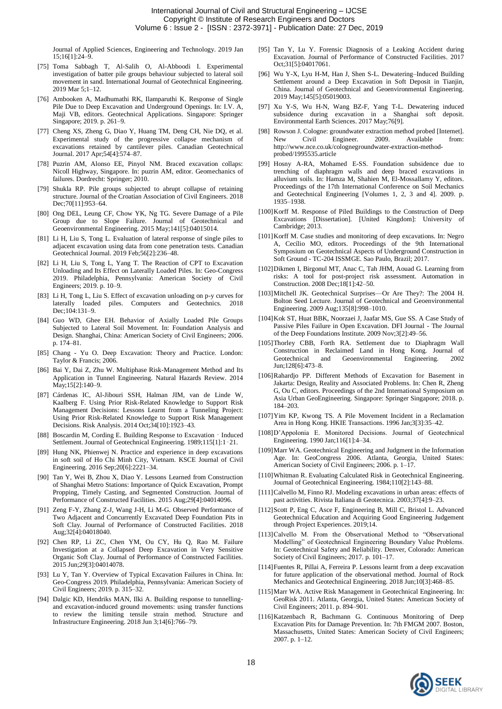Journal of Applied Sciences, Engineering and Technology. 2019 Jan 15;16[1]:24–9.

- [75] Toma Sabbagh T, Al-Salih O, Al-Abboodi I. Experimental investigation of batter pile groups behaviour subjected to lateral soil movement in sand. International Journal of Geotechnical Engineering. 2019 Mar 5;1–12.
- [76] Ambooken A, Madhumathi RK, Ilamparuthi K. Response of Single Pile Due to Deep Excavation and Underground Openings. In: I.V. A, Maji VB, editors. Geotechnical Applications. Singapore: Springer Singapore; 2019. p. 261–9.
- [77] Cheng XS, Zheng G, Diao Y, Huang TM, Deng CH, Nie DQ, et al. Experimental study of the progressive collapse mechanism of excavations retained by cantilever piles. Canadian Geotechnical Journal. 2017 Apr;54[4]:574–87.
- [78] Puzrin AM, Alonso EE, Pinyol NM. Braced excavation collaps: Nicoll Highway, Singapore. In: puzrin AM, editor. Geomechanics of failures. Dordrecht: Springer; 2010.
- [79] Shukla RP. Pile groups subjected to abrupt collapse of retaining structure. Journal of the Croatian Association of Civil Engineers. 2018 Dec: 70[11]: 953-64.
- [80] Ong DEL, Leung CF, Chow YK, Ng TG. Severe Damage of a Pile Group due to Slope Failure. Journal of Geotechnical and Geoenvironmental Engineering. 2015 May;141[5]:04015014.
- [81] Li H, Liu S, Tong L. Evaluation of lateral response of single piles to adjacent excavation using data from cone penetration tests. Canadian Geotechnical Journal. 2019 Feb;56[2]:236–48.
- [82] Li H, Liu S, Tong L, Yang T. The Reaction of CPT to Excavation Unloading and Its Effect on Laterally Loaded Piles. In: Geo-Congress 2019. Philadelphia, Pennsylvania: American Society of Civil Engineers; 2019. p. 10–9.
- [83] Li H, Tong L, Liu S. Effect of excavation unloading on p-y curves for laterally loaded piles. Computers and Geotechnics. 2018 Dec;104:131–9.
- [84] Guo WD, Ghee EH. Behavior of Axially Loaded Pile Groups Subjected to Lateral Soil Movement. In: Foundation Analysis and Design. Shanghai, China: American Society of Civil Engineers; 2006. p. 174–81.
- [85] Chang Yu O. Deep Excavation: Theory and Practice. London: Taylor & Francis; 2006.
- [86] Bai Y, Dai Z, Zhu W. Multiphase Risk-Management Method and Its Application in Tunnel Engineering. Natural Hazards Review. 2014 May;15[2]:140–9.
- [87] Cárdenas IC, Al-Jibouri SSH, Halman JIM, van de Linde W, Kaalberg F. Using Prior Risk-Related Knowledge to Support Risk Management Decisions: Lessons Learnt from a Tunneling Project: Using Prior Risk-Related Knowledge to Support Risk Management Decisions. Risk Analysis. 2014 Oct;34[10]:1923–43.
- [88] Boscardin M, Cording E. Building Response to Excavation Induced Settlement. Journal of Geotechnical Engineering. 1989;115[1]:1–21.
- [89] Hung NK, Phienwej N. Practice and experience in deep excavations in soft soil of Ho Chi Minh City, Vietnam. KSCE Journal of Civil Engineering. 2016 Sep;20[6]:2221–34.
- [90] Tan Y, Wei B, Zhou X, Diao Y. Lessons Learned from Construction of Shanghai Metro Stations: Importance of Quick Excavation, Prompt Propping, Timely Casting, and Segmented Construction. Journal of Performance of Constructed Facilities. 2015 Aug;29[4]:04014096.
- [91] Zeng F-Y, Zhang Z-J, Wang J-H, Li M-G. Observed Performance of Two Adjacent and Concurrently Excavated Deep Foundation Pits in Soft Clay. Journal of Performance of Constructed Facilities. 2018 Aug;32[4]:04018040.
- [92] Chen RP, Li ZC, Chen YM, Ou CY, Hu Q, Rao M. Failure Investigation at a Collapsed Deep Excavation in Very Sensitive Organic Soft Clay. Journal of Performance of Constructed Facilities. 2015 Jun;29[3]:04014078.
- [93] Lu Y, Tan Y. Overview of Typical Excavation Failures in China. In: Geo-Congress 2019. Philadelphia, Pennsylvania: American Society of Civil Engineers; 2019. p. 315–32.
- [94] Dalgic KD, Hendriks MAN, Ilki A. Building response to tunnellingand excavation-induced ground movements: using transfer functions to review the limiting tensile strain method. Structure and Infrastructure Engineering. 2018 Jun 3;14[6]:766–79.
- [95] Tan Y, Lu Y. Forensic Diagnosis of a Leaking Accident during Excavation. Journal of Performance of Constructed Facilities. 2017 Oct;31[5]:04017061.
- [96] Wu Y-X, Lyu H-M, Han J, Shen S-L. Dewatering–Induced Building Settlement around a Deep Excavation in Soft Deposit in Tianjin, China. Journal of Geotechnical and Geoenvironmental Engineering. 2019 May;145[5]:05019003.
- [97] Xu Y-S, Wu H-N, Wang BZ-F, Yang T-L. Dewatering induced subsidence during excavation in a Shanghai soft deposit. Environmental Earth Sciences. 2017 May;76[9].
- [98] Rowson J. Cologne: groundwater extraction method probed [Internet]. New Civil Engineer. 2009. Available from: http://www.nce.co.uk/colognegroundwater-extraction-methodprobed/1995535.article
- [99] Hosny A-RA, Mohamed E-SS. Foundation subsidence due to trenching of diaphragm walls and deep braced excavations in alluvium soils. In: Hamza M, Shahien M, El-Mossallamy Y, editors. Proceedings of the 17th International Conference on Soil Mechanics and Geotechnical Engineering [Volumes 1, 2, 3 and 4]. 2009. p. 1935–1938.
- [100]Korff M. Response of Piled Buildings to the Construction of Deep Excavations [Dissertation]. [United Kingdom]: University of Cambridge; 2013.
- [101] Korff M. Case studies and monitoring of deep excavations. In: Negro A, Cecílio MO, editors. Proceedings of the 9th International Symposium on Geotechnical Aspects of Underground Construction in Soft Ground - TC-204 ISSMGE. Sao Paulo, Brazil; 2017.
- [102]Dikmen I, Birgonul MT, Anac C, Tah JHM, Aouad G. Learning from risks: A tool for post-project risk assessment. Automation in Construction. 2008 Dec;18[1]:42–50.
- [103]Mitchell JK. Geotechnical Surprises—Or Are They?: The 2004 H. Bolton Seed Lecture. Journal of Geotechnical and Geoenvironmental Engineering. 2009 Aug;135[8]:998–1010.
- [104]Kok ST, Huat BBK, Noorzaei J, Jaafar MS, Gue SS. A Case Study of Passive Piles Failure in Open Excavation. DFI Journal - The Journal of the Deep Foundations Institute. 2009 Nov;3[2]:49–56.
- [105]Thorley CBB, Forth RA. Settlement due to Diaphragm Wall Construction in Reclaimed Land in Hong Kong. Journal of Geotechnical and Geoenvironmental Engineering. Jun;128[6]:473–8.
- [106]Rahardjo PP. Different Methods of Excavation for Basement in Jakarta: Design, Reality and Associated Problems. In: Chen R, Zheng G, Ou C, editors. Proceedings of the 2nd International Symposium on Asia Urban GeoEngineering. Singapore: Springer Singapore; 2018. p. 184–203.
- [107]Yim KP, Kwong TS. A Pile Movement Incident in a Reclamation Area in Hong Kong. HKIE Transactions. 1996 Jan;3[3]:35-42.
- [108]D'Appolonia E. Monitored Decisions. Journal of Geotechnical Engineering. 1990 Jan;116[1]:4–34.
- [109]Marr WA. Geotechnical Engineering and Judgment in the Information Age. In: GeoCongress 2006. Atlanta, Georgia, United States: American Society of Civil Engineers; 2006. p. 1–17.
- [110]Whitman R. Evaluating Calculated Risk in Geotechnical Engineering. Journal of Geotechnical Engineering. 1984;110[2]:143–88.
- [111]Calvello M, Finno RJ. Modeling excavations in urban areas: effects of past activities. Rivista Italiana di Geotecnica. 2003;37[4]:9–23.
- [112]Scott P, Eng C, Asce F, Engineering B, Mill C, Bristol L. Advanced Geotechnical Education and Acquiring Good Engineering Judgement through Project Experiences. 2019;14.
- [113]Calvello M. From the Observational Method to "Observational Modelling" of Geotechnical Engineering Boundary Value Problems. In: Geotechnical Safety and Reliability. Denver, Colorado: American Society of Civil Engineers; 2017. p. 101–17.
- [114]Fuentes R, Pillai A, Ferreira P. Lessons learnt from a deep excavation for future application of the observational method. Journal of Rock Mechanics and Geotechnical Engineering. 2018 Jun;10[3]:468–85.
- [115]Marr WA. Active Risk Management in Geotechnical Engineering. In: GeoRisk 2011. Atlanta, Georgia, United States: American Society of Civil Engineers; 2011. p. 894–901.
- [116]Katzenbach R, Bachmann G. Continuous Monitoring of Deep Excavation Pits for Damage Prevention. In: 7th FMGM 2007. Boston, Massachusetts, United States: American Society of Civil Engineers; 2007. p. 1–12.